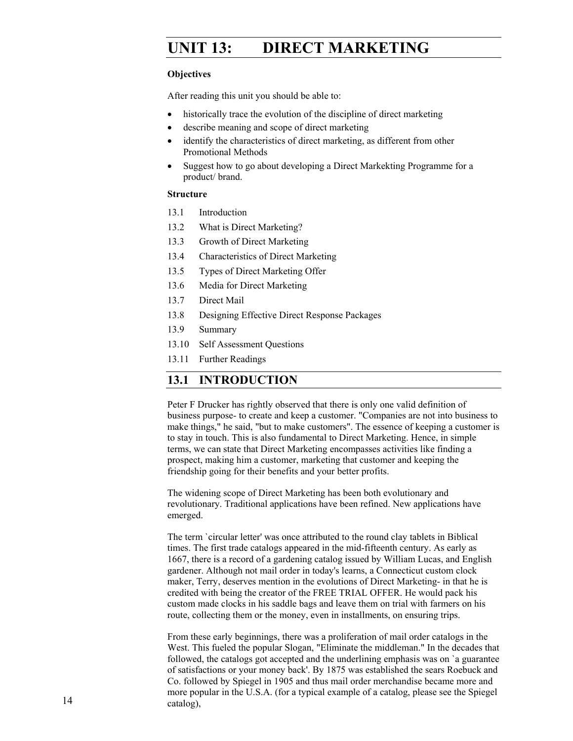# **UNIT 13: DIRECT MARKETING**

#### **Objectives**

After reading this unit you should be able to:

- historically trace the evolution of the discipline of direct marketing
- describe meaning and scope of direct marketing
- identify the characteristics of direct marketing, as different from other Promotional Methods
- Suggest how to go about developing a Direct Markekting Programme for a product/ brand.

#### **Structure**

- 13.1 Introduction
- 13.2 What is Direct Marketing?
- 13.3 Growth of Direct Marketing
- 13.4 Characteristics of Direct Marketing
- 13.5 Types of Direct Marketing Offer
- 13.6 Media for Direct Marketing
- 13.7 Direct Mail
- 13.8 Designing Effective Direct Response Packages
- 13.9 Summary
- 13.10 Self Assessment Questions
- 13.11 Further Readings

### **13.1 INTRODUCTION**

Peter F Drucker has rightly observed that there is only one valid definition of business purpose- to create and keep a customer. "Companies are not into business to make things," he said, "but to make customers". The essence of keeping a customer is to stay in touch. This is also fundamental to Direct Marketing. Hence, in simple terms, we can state that Direct Marketing encompasses activities like finding a prospect, making him a customer, marketing that customer and keeping the friendship going for their benefits and your better profits.

The widening scope of Direct Marketing has been both evolutionary and revolutionary. Traditional applications have been refined. New applications have emerged.

The term `circular letter' was once attributed to the round clay tablets in Biblical times. The first trade catalogs appeared in the mid-fifteenth century. As early as 1667, there is a record of a gardening catalog issued by William Lucas, and English gardener. Although not mail order in today's learns, a Connecticut custom clock maker, Terry, deserves mention in the evolutions of Direct Marketing- in that he is credited with being the creator of the FREE TRIAL OFFER. He would pack his custom made clocks in his saddle bags and leave them on trial with farmers on his route, collecting them or the money, even in installments, on ensuring trips.

From these early beginnings, there was a proliferation of mail order catalogs in the West. This fueled the popular Slogan, "Eliminate the middleman." In the decades that followed, the catalogs got accepted and the underlining emphasis was on `a guarantee of satisfactions or your money back'. By 1875 was established the sears Roebuck and Co. followed by Spiegel in 1905 and thus mail order merchandise became more and more popular in the U.S.A. (for a typical example of a catalog, please see the Spiegel catalog),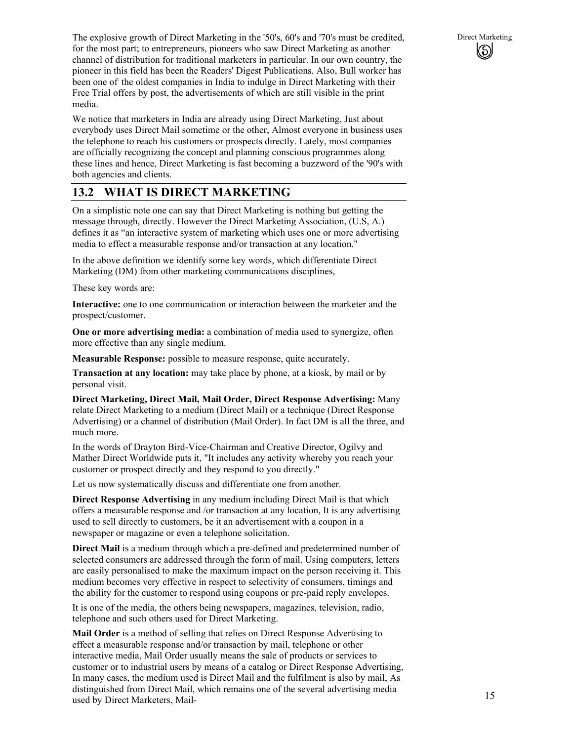We notice that marketers in India are already using Direct Marketing, Just about everybody uses Direct Mail sometime or the other, Almost everyone in business uses the telephone to reach his customers or prospects directly. Lately, most companies are officially recognizing the concept and planning conscious programmes along these lines and hence, Direct Marketing is fast becoming a buzzword of the '90's with both agencies and clients.

# **13.2 WHAT IS DIRECT MARKETING**

On a simplistic note one can say that Direct Marketing is nothing but getting the message through, directly. However the Direct Marketing Association, (U.S, A.) defines it as "an interactive system of marketing which uses one or more advertising media to effect a measurable response and/or transaction at any location."

In the above definition we identify some key words, which differentiate Direct Marketing (DM) from other marketing communications disciplines,

These key words are:

**Interactive:** one to one communication or interaction between the marketer and the prospect/customer.

**One or more advertising media:** a combination of media used to synergize, often more effective than any single medium.

**Measurable Response:** possible to measure response, quite accurately.

**Transaction at any location:** may take place by phone, at a kiosk, by mail or by personal visit.

**Direct Marketing, Direct Mail, Mail Order, Direct Response Advertising:** Many relate Direct Marketing to a medium (Direct Mail) or a technique (Direct Response Advertising) or a channel of distribution (Mail Order). In fact DM is all the three, and much more.

In the words of Drayton Bird-Vice-Chairman and Creative Director, Ogilvy and Mather Direct Worldwide puts it, "It includes any activity whereby you reach your customer or prospect directly and they respond to you directly."

Let us now systematically discuss and differentiate one from another.

**Direct Response Advertising** in any medium including Direct Mail is that which offers a measurable response and /or transaction at any location, It is any advertising used to sell directly to customers, be it an advertisement with a coupon in a newspaper or magazine or even a telephone solicitation.

**Direct Mail** is a medium through which a pre-defined and predetermined number of selected consumers are addressed through the form of mail. Using computers, letters are easily personalised to make the maximum impact on the person receiving it. This medium becomes very effective in respect to selectivity of consumers, timings and the ability for the customer to respond using coupons or pre-paid reply envelopes.

It is one of the media, the others being newspapers, magazines, television, radio, telephone and such others used for Direct Marketing.

**Mail Order** is a method of selling that relies on Direct Response Advertising to effect a measurable response and/or transaction by mail, telephone or other interactive media, Mail Order usually means the sale of products or services to customer or to industrial users by means of a catalog or Direct Response Advertising, In many cases, the medium used is Direct Mail and the fulfilment is also by mail, As distinguished from Direct Mail, which remains one of the several advertising media used by Direct Marketers, Mail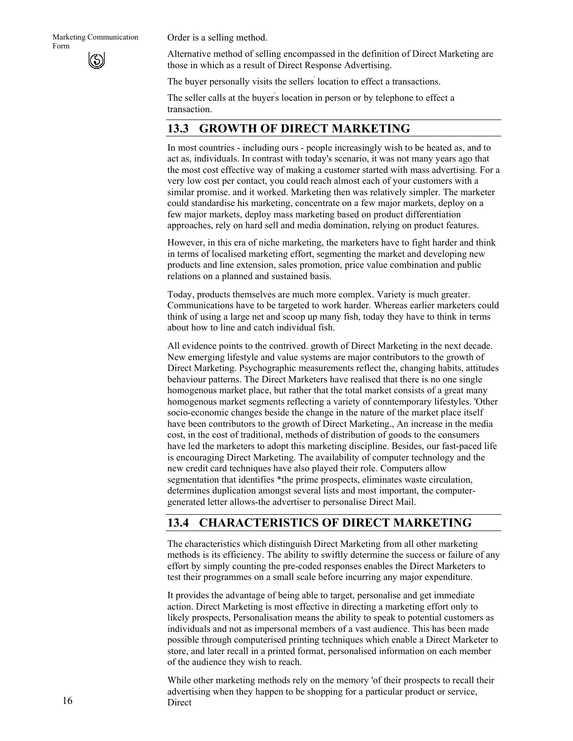Order is a selling method.

Alternative method of selling encompassed in the definition of Direct Marketing are those in which as a result of Direct Response Advertising.

The buyer personally visits the sellers<sup>'</sup> location to effect a transactions.

The seller calls at the buyer' s location in person or by telephone to effect a transaction.

### **13.3 GROWTH OF DIRECT MARKETING**

In most countries - including ours - people increasingly wish to be heated as, and to act as, individuals. In contrast with today's scenario, it was not many years ago that the most cost effective way of making a customer started with mass advertising. For a very low cost per contact, you could reach almost each of your customers with a similar promise. and it worked. Marketing then was relatively simpler. The marketer could standardise his marketing, concentrate on a few major markets, deploy on a few major markets, deploy mass marketing based on product differentiation approaches, rely on hard sell and media domination, relying on product features.

However, in this era of niche marketing, the marketers have to fight harder and think in terms of localised marketing effort, segmenting the market and developing new products and line extension, sales promotion, price value combination and public relations on a planned and sustained basis.

Today, products themselves are much more complex. Variety is much greater. Communications have to be targeted to work harder. Whereas earlier marketers could think of using a large net and scoop up many fish, today they have to think in terms about how to line and catch individual fish.

All evidence points to the contrived. growth of Direct Marketing in the next decade. New emerging lifestyle and value systems are major contributors to the growth of Direct Marketing. Psychographic measurements reflect the, changing habits, attitudes behaviour patterns. The Direct Marketers have realised that there is no one single homogenous market place, but rather that the total market consists of a great many homogenous market segments reflecting a variety of conntemporary lifestyles. 'Other socio-economic changes beside the change in the nature of the market place itself have been contributors to the growth of Direct Marketing., An increase in the media cost, in the cost of traditional, methods of distribution of goods to the consumers have led the marketers to adopt this marketing discipline. Besides, our fast-paced life is encouraging Direct Marketing. The availability of computer technology and the new credit card techniques have also played their role. Computers allow segmentation that identifies \*the prime prospects, eliminates waste circulation, determines duplication amongst several lists and most important, the computergenerated letter allows-the advertiser to personalise Direct Mail.

### **13.4 CHARACTERISTICS OF DIRECT MARKETING**

The characteristics which distinguish Direct Marketing from all other marketing methods is its efficiency. The ability to swiftly determine the success or failure of any effort by simply counting the pre-coded responses enables the Direct Marketers to test their programmes on a small scale before incurring any major expenditure.

It provides the advantage of being able to target, personalise and get immediate action. Direct Marketing is most effective in directing a marketing effort only to likely prospects, Personalisation means the ability to speak to potential customers as individuals and not as impersonal members of a vast audience. This has been made possible through computerised printing techniques which enable a Direct Marketer to store, and later recall in a printed format, personalised information on each member of the audience they wish to reach.

While other marketing methods rely on the memory 'of their prospects to recall their advertising when they happen to be shopping for a particular product or service, Direct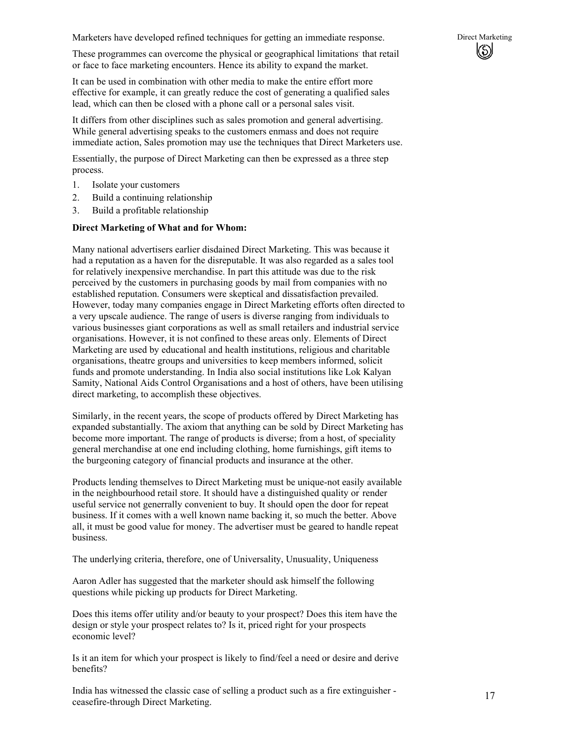Marketers have developed refined techniques for getting an immediate response. Direct Marketing

These programmes can overcome the physical or geographical limitations that retail or face to face marketing encounters. Hence its ability to expand the market.

It can be used in combination with other media to make the entire effort more effective for example, it can greatly reduce the cost of generating a qualified sales lead, which can then be closed with a phone call or a personal sales visit.

It differs from other disciplines such as sales promotion and general advertising. While general advertising speaks to the customers enmass and does not require immediate action, Sales promotion may use the techniques that Direct Marketers use.

Essentially, the purpose of Direct Marketing can then be expressed as a three step process.

- 1. Isolate your customers
- 2. Build a continuing relationship
- 3. Build a profitable relationship

#### **Direct Marketing of What and for Whom:**

Many national advertisers earlier disdained Direct Marketing. This was because it had a reputation as a haven for the disreputable. It was also regarded as a sales tool for relatively inexpensive merchandise. In part this attitude was due to the risk perceived by the customers in purchasing goods by mail from companies with no established reputation. Consumers were skeptical and dissatisfaction prevailed. However, today many companies engage in Direct Marketing efforts often directed to a very upscale audience. The range of users is diverse ranging from individuals to various businesses giant corporations as well as small retailers and industrial service organisations. However, it is not confined to these areas only. Elements of Direct Marketing are used by educational and health institutions, religious and charitable organisations, theatre groups and universities to keep members informed, solicit funds and promote understanding. In India also social institutions like Lok Kalyan Samity, National Aids Control Organisations and a host of others, have been utilising direct marketing, to accomplish these objectives.

Similarly, in the recent years, the scope of products offered by Direct Marketing has expanded substantially. The axiom that anything can be sold by Direct Marketing has become more important. The range of products is diverse; from a host, of speciality general merchandise at one end including clothing, home furnishings, gift items to the burgeoning category of financial products and insurance at the other.

Products lending themselves to Direct Marketing must be unique-not easily available in the neighbourhood retail store. It should have a distinguished quality or render useful service not generrally convenient to buy. It should open the door for repeat business. If it comes with a well known name backing it, so much the better. Above all, it must be good value for money. The advertiser must be geared to handle repeat business.

The underlying criteria, therefore, one of Universality, Unusuality, Uniqueness

Aaron Adler has suggested that the marketer should ask himself the following questions while picking up products for Direct Marketing.

Does this items offer utility and/or beauty to your prospect? Does this item have the design or style your prospect relates to? Is it, priced right for your prospects economic level?

Is it an item for which your prospect is likely to find/feel a need or desire and derive benefits?

India has witnessed the classic case of selling a product such as a fire extinguisher ceasefire-through Direct Marketing.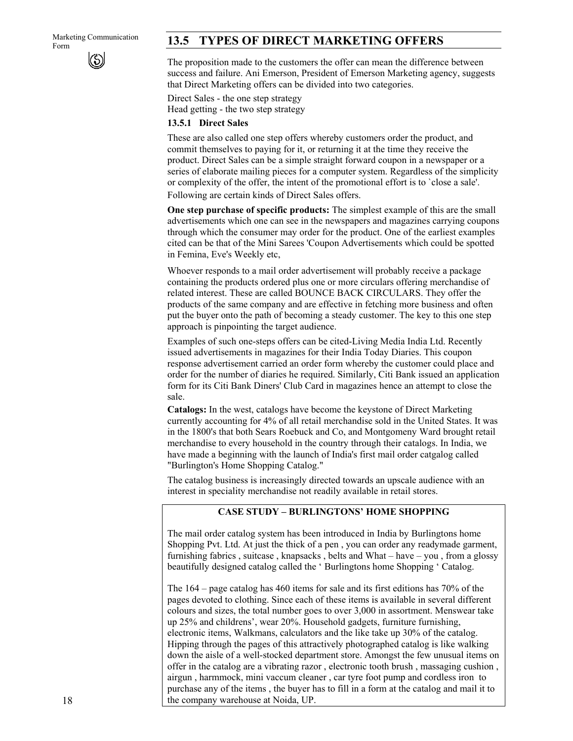# Marketing Communication **13.5 TYPES OF DIRECT MARKETING OFFERS**

The proposition made to the customers the offer can mean the difference between success and failure. Ani Emerson, President of Emerson Marketing agency, suggests that Direct Marketing offers can be divided into two categories.

Direct Sales - the one step strategy Head getting - the two step strategy

### **13.5.1 Direct Sales**

These are also called one step offers whereby customers order the product, and commit themselves to paying for it, or returning it at the time they receive the product. Direct Sales can be a simple straight forward coupon in a newspaper or a series of elaborate mailing pieces for a computer system. Regardless of the simplicity or complexity of the offer, the intent of the promotional effort is to `close a sale'. Following are certain kinds of Direct Sales offers.

**One step purchase of specific products:** The simplest example of this are the small advertisements which one can see in the newspapers and magazines carrying coupons through which the consumer may order for the product. One of the earliest examples cited can be that of the Mini Sarees 'Coupon Advertisements which could be spotted in Femina, Eve's Weekly etc,

Whoever responds to a mail order advertisement will probably receive a package containing the products ordered plus one or more circulars offering merchandise of related interest. These are called BOUNCE BACK CIRCULARS. They offer the products of the same company and are effective in fetching more business and often put the buyer onto the path of becoming a steady customer. The key to this one step approach is pinpointing the target audience.

Examples of such one-steps offers can be cited-Living Media India Ltd. Recently issued advertisements in magazines for their India Today Diaries. This coupon response advertisement carried an order form whereby the customer could place and order for the number of diaries he required. Similarly, Citi Bank issued an application form for its Citi Bank Diners' Club Card in magazines hence an attempt to close the sale.

**Catalogs:** In the west, catalogs have become the keystone of Direct Marketing currently accounting for 4% of all retail merchandise sold in the United States. It was in the 1800's that both Sears Roebuck and Co, and Montgomeny Ward brought retail merchandise to every household in the country through their catalogs. In India, we have made a beginning with the launch of India's first mail order catgalog called "Burlington's Home Shopping Catalog."

The catalog business is increasingly directed towards an upscale audience with an interest in speciality merchandise not readily available in retail stores.

### **CASE STUDY – BURLINGTONS' HOME SHOPPING**

The mail order catalog system has been introduced in India by Burlingtons home Shopping Pvt. Ltd. At just the thick of a pen , you can order any readymade garment, furnishing fabrics , suitcase , knapsacks , belts and What – have – you , from a glossy beautifully designed catalog called the ' Burlingtons home Shopping ' Catalog.

The 164 – page catalog has 460 items for sale and its first editions has 70% of the pages devoted to clothing. Since each of these items is available in several different colours and sizes, the total number goes to over 3,000 in assortment. Menswear take up 25% and childrens', wear 20%. Household gadgets, furniture furnishing, electronic items, Walkmans, calculators and the like take up 30% of the catalog. Hipping through the pages of this attractively photographed catalog is like walking down the aisle of a well-stocked department store. Amongst the few unusual items on offer in the catalog are a vibrating razor , electronic tooth brush , massaging cushion , airgun , harmmock, mini vaccum cleaner , car tyre foot pump and cordless iron to purchase any of the items , the buyer has to fill in a form at the catalog and mail it to the company warehouse at Noida, UP.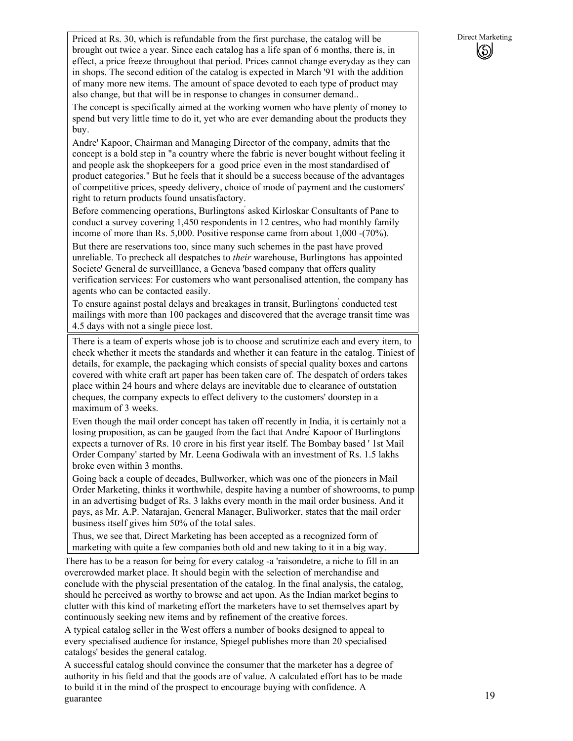Priced at Rs. 30, which is refundable from the first purchase, the catalog will be Direct Marketing brought out twice a year. Since each catalog has a life span of 6 months, there is, in effect, a price freeze throughout that period. Prices cannot change everyday as they can in shops. The second edition of the catalog is expected in March '91 with the addition of many more new items. The amount of space devoted to each type of product may also change, but that will be in response to changes in consumer demand..

The concept is specifically aimed at the working women who have plenty of money to spend but very little time to do it, yet who are ever demanding about the products they buy.

Andre' Kapoor, Chairman and Managing Director of the company, admits that the concept is a bold step in "a country where the fabric is never bought without feeling it and people ask the shopkeepers for a ` good price' even in the most standardised of product categories." But he feels that it should be a success because of the advantages of competitive prices, speedy delivery, choice of mode of payment and the customers' right to return products found unsatisfactory.

Before commencing operations, Burlingtons' asked Kirloskar Consultants of Pane to conduct a survey covering 1,450 respondents in 12 centres, who had monthly family income of more than Rs. 5,000. Positive response came from about 1,000 -(70%).

But there are reservations too, since many such schemes in the past have proved unreliable. To precheck all despatches to *their* warehouse, Burlingtons' has appointed Societe' General de surveilllance, a Geneva 'based company that offers quality verification services: For customers who want personalised attention, the company has agents who can be contacted easily.

To ensure against postal delays and breakages in transit, Burlingtons' conducted test mailings with more than 100 packages and discovered that the average transit time was 4.5 days with not a single piece lost.

There is a team of experts whose job is to choose and scrutinize each and every item, to check whether it meets the standards and whether it can feature in the catalog. Tiniest of details, for example, the packaging which consists of special quality boxes and cartons covered with white craft art paper has been taken care of. The despatch of orders takes place within 24 hours and where delays are inevitable due to clearance of outstation cheques, the company expects to effect delivery to the customers' doorstep in a maximum of 3 weeks.

Even though the mail order concept has taken off recently in India, it is certainly not a losing proposition, as can be gauged from the fact that Andre' Kapoor of Burlingtons' expects a turnover of Rs. 10 crore in his first year itself. The Bombay based ' 1st Mail Order Company' started by Mr. Leena Godiwala with an investment of Rs. 1.5 lakhs broke even within 3 months.

Going back a couple of decades, Bullworker, which was one of the pioneers in Mail Order Marketing, thinks it worthwhile, despite having a number of showrooms, to pump in an advertising budget of Rs. 3 lakhs every month in the mail order business. And it pays, as Mr. A.P. Natarajan, General Manager, Buliworker, states that the mail order business itself gives him 50% of the total sales.

Thus, we see that, Direct Marketing has been accepted as a recognized form of marketing with quite a few companies both old and new taking to it in a big way.

There has to be a reason for being for every catalog -a 'raisondetre, a niche to fill in an overcrowded market place. It should begin with the selection of merchandise and conclude with the physcial presentation of the catalog. In the final analysis, the catalog, should he perceived as worthy to browse and act upon. As the Indian market begins to clutter with this kind of marketing effort the marketers have to set themselves apart by continuously seeking new items and by refinement of the creative forces.

A typical catalog seller in the West offers a number of books designed to appeal to every specialised audience for instance, Spiegel publishes more than 20 specialised catalogs' besides the general catalog.

A successful catalog should convince the consumer that the marketer has a degree of authority in his field and that the goods are of value. A calculated effort has to be made to build it in the mind of the prospect to encourage buying with confidence. A guarantee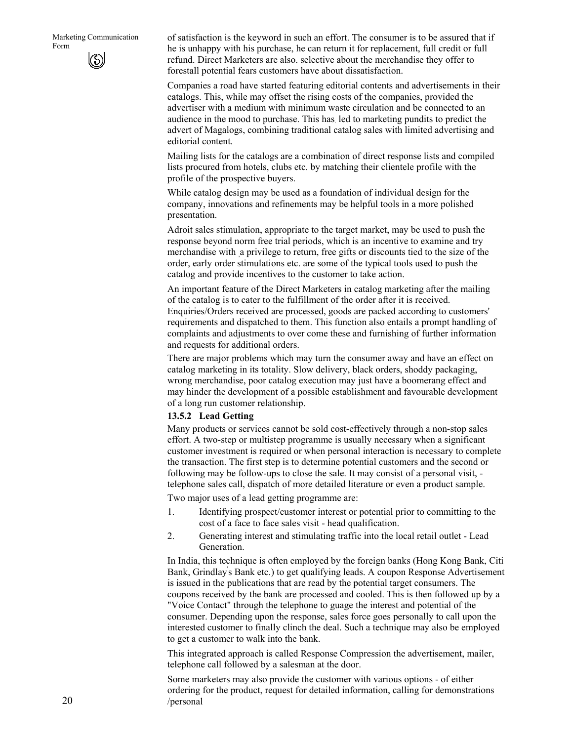of satisfaction is the keyword in such an effort. The consumer is to be assured that if he is unhappy with his purchase, he can return it for replacement, full credit or full refund. Direct Marketers are also. selective about the merchandise they offer to forestall potential fears customers have about dissatisfaction.

Companies a road have started featuring editorial contents and advertisements in their catalogs. This, while may offset the rising costs of the companies, provided the advertiser with a medium with minimum waste circulation and be connected to an audience in the mood to purchase. This has. led to marketing pundits to predict the advert of Magalogs, combining traditional catalog sales with limited advertising and editorial content.

Mailing lists for the catalogs are a combination of direct response lists and compiled lists procured from hotels, clubs etc. by matching their clientele profile with the profile of the prospective buyers.

While catalog design may be used as a foundation of individual design for the company, innovations and refinements may be helpful tools in a more polished presentation.

Adroit sales stimulation, appropriate to the target market, may be used to push the response beyond norm free trial periods, which is an incentive to examine and try merchandise with a privilege to return, free gifts or discounts tied to the size of the order, early order stimulations etc. are some of the typical tools used to push the catalog and provide incentives to the customer to take action.

An important feature of the Direct Marketers in catalog marketing after the mailing of the catalog is to cater to the fulfillment of the order after it is received. Enquiries/Orders received are processed, goods are packed according to customers' requirements and dispatched to them. This function also entails a prompt handling of complaints and adjustments to over come these and furnishing of further information and requests for additional orders.

There are major problems which may turn the consumer away and have an effect on catalog marketing in its totality. Slow delivery, black orders, shoddy packaging, wrong merchandise, poor catalog execution may just have a boomerang effect and may hinder the development of a possible establishment and favourable development of a long run customer relationship.

#### **13.5.2 Lead Getting**

Many products or services cannot be sold cost-effectively through a non-stop sales effort. A two-step or multistep programme is usually necessary when a significant customer investment is required or when personal interaction is necessary to complete the transaction. The first step is to determine potential customers and the second or following may be follow-ups to close the sale. It may consist of a personal visit, telephone sales call, dispatch of more detailed literature or even a product sample.

Two major uses of a lead getting programme are:

- 1. Identifying prospect/customer interest or potential prior to committing to the cost of a face to face sales visit - head qualification.
- 2. Generating interest and stimulating traffic into the local retail outlet Lead Generation.

In India, this technique is often employed by the foreign banks (Hong Kong Bank, Citi Bank, Grindlay' s Bank etc.) to get qualifying leads. A coupon Response Advertisement is issued in the publications that are read by the potential target consumers. The coupons received by the bank are processed and cooled. This is then followed up by a "Voice Contact" through the telephone to guage the interest and potential of the consumer. Depending upon the response, sales force goes personally to call upon the interested customer to finally clinch the deal. Such a technique may also be employed to get a customer to walk into the bank.

This integrated approach is called Response Compression the advertisement, mailer, telephone call followed by a salesman at the door.

Some marketers may also provide the customer with various options - of either ordering for the product, request for detailed information, calling for demonstrations /personal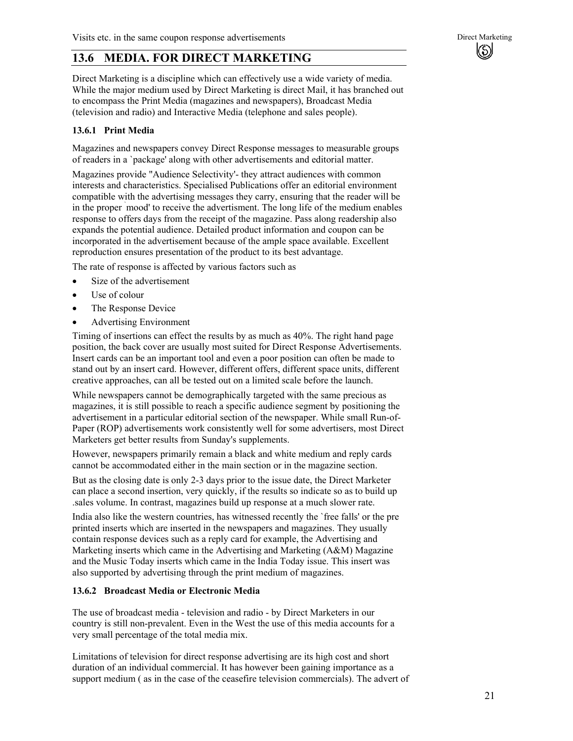# **13.6 MEDIA. FOR DIRECT MARKETING**

Direct Marketing is a discipline which can effectively use a wide variety of media. While the major medium used by Direct Marketing is direct Mail, it has branched out to encompass the Print Media (magazines and newspapers), Broadcast Media (television and radio) and Interactive Media (telephone and sales people).

#### **13.6.1 Print Media**

Magazines and newspapers convey Direct Response messages to measurable groups of readers in a `package' along with other advertisements and editorial matter.

Magazines provide "Audience Selectivity'- they attract audiences with common interests and characteristics. Specialised Publications offer an editorial environment compatible with the advertising messages they carry, ensuring that the reader will be in the proper ` mood' to receive the advertisment. The long life of the medium enables response to offers days from the receipt of the magazine. Pass along readership also expands the potential audience. Detailed product information and coupon can be incorporated in the advertisement because of the ample space available. Excellent reproduction ensures presentation of the product to its best advantage.

The rate of response is affected by various factors such as

- Size of the advertisement
- Use of colour
- The Response Device
- Advertising Environment

Timing of insertions can effect the results by as much as 40%. The right hand page position, the back cover are usually most suited for Direct Response Advertisements. Insert cards can be an important tool and even a poor position can often be made to stand out by an insert card. However, different offers, different space units, different creative approaches, can all be tested out on a limited scale before the launch.

While newspapers cannot be demographically targeted with the same precious as magazines, it is still possible to reach a specific audience segment by positioning the advertisement in a particular editorial section of the newspaper. While small Run-of-Paper (ROP) advertisements work consistently well for some advertisers, most Direct Marketers get better results from Sunday's supplements.

However, newspapers primarily remain a black and white medium and reply cards cannot be accommodated either in the main section or in the magazine section.

But as the closing date is only 2-3 days prior to the issue date, the Direct Marketer can place a second insertion, very quickly, if the results so indicate so as to build up .sales volume. In contrast, magazines build up response at a much slower rate.

India also like the western countries, has witnessed recently the `free falls' or the pre printed inserts which are inserted in the newspapers and magazines. They usually contain response devices such as a reply card for example, the Advertising and Marketing inserts which came in the Advertising and Marketing (A&M) Magazine and the Music Today inserts which came in the India Today issue. This insert was also supported by advertising through the print medium of magazines.

#### **13.6.2 Broadcast Media or Electronic Media**

The use of broadcast media - television and radio - by Direct Marketers in our country is still non-prevalent. Even in the West the use of this media accounts for a very small percentage of the total media mix.

Limitations of television for direct response advertising are its high cost and short duration of an individual commercial. It has however been gaining importance as a support medium ( as in the case of the ceasefire television commercials). The advert of (\$)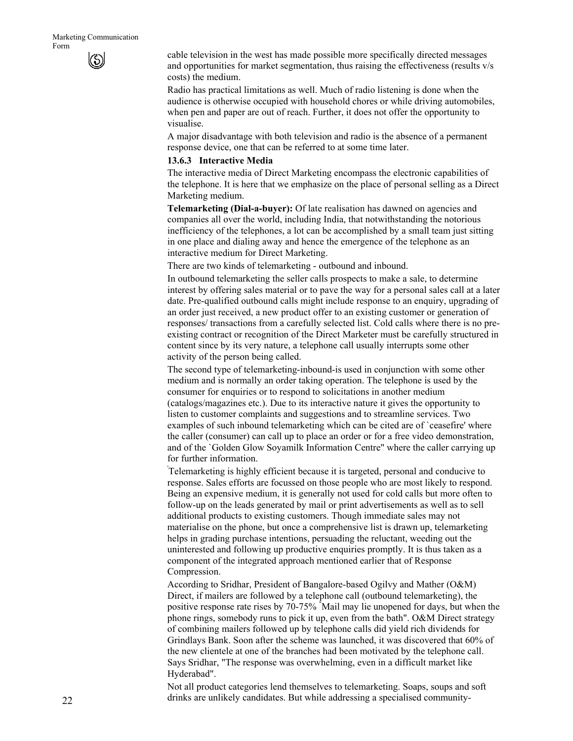cable television in the west has made possible more specifically directed messages and opportunities for market segmentation, thus raising the effectiveness (results v/s costs) the medium.

Radio has practical limitations as well. Much of radio listening is done when the audience is otherwise occupied with household chores or while driving automobiles, when pen and paper are out of reach. Further, it does not offer the opportunity to visualise.

A major disadvantage with both television and radio is the absence of a permanent response device, one that can be referred to at some time later.

#### **13.6.3 Interactive Media**

The interactive media of Direct Marketing encompass the electronic capabilities of the telephone. It is here that we emphasize on the place of personal selling as a Direct Marketing medium.

**Telemarketing (Dial-a-buyer):** Of late realisation has dawned on agencies and companies all over the world, including India, that notwithstanding the notorious inefficiency of the telephones, a lot can be accomplished by a small team just sitting in one place and dialing away and hence the emergence of the telephone as an interactive medium for Direct Marketing.

There are two kinds of telemarketing - outbound and inbound.

In outbound telemarketing the seller calls prospects to make a sale, to determine interest by offering sales material or to pave the way for a personal sales call at a later date. Pre-qualified outbound calls might include response to an enquiry, upgrading of an order just received, a new product offer to an existing customer or generation of responses/ transactions from a carefully selected list. Cold calls where there is no preexisting contract or recognition of the Direct Marketer must be carefully structured in content since by its very nature, a telephone call usually interrupts some other activity of the person being called.

The second type of telemarketing-inbound-is used in conjunction with some other medium and is normally an order taking operation. The telephone is used by the consumer for enquiries or to respond to solicitations in another medium (catalogs/magazines etc.). Due to its interactive nature it gives the opportunity to listen to customer complaints and suggestions and to streamline services. Two examples of such inbound telemarketing which can be cited are of `ceasefire' where the caller (consumer) can call up to place an order or for a free video demonstration, and of the `Golden Glow Soyamilk Information Centre" where the caller carrying up for further information.

' Telemarketing is highly efficient because it is targeted, personal and conducive to response. Sales efforts are focussed on those people who are most likely to respond. Being an expensive medium, it is generally not used for cold calls but more often to follow-up on the leads generated by mail or print advertisements as well as to sell additional products to existing customers. Though immediate sales may not materialise on the phone, but once a comprehensive list is drawn up, telemarketing helps in grading purchase intentions, persuading the reluctant, weeding out the uninterested and following up productive enquiries promptly. It is thus taken as a component of the integrated approach mentioned earlier that of Response Compression.

According to Sridhar, President of Bangalore-based Ogilvy and Mather (O&M) Direct, if mailers are followed by a telephone call (outbound telemarketing), the positive response rate rises by 70-75% " Mail may lie unopened for days, but when the phone rings, somebody runs to pick it up, even from the bath". O&M Direct strategy of combining mailers followed up by telephone calls did yield rich dividends for Grindlays Bank. Soon after the scheme was launched, it was discovered that 60% of the new clientele at one of the branches had been motivated by the telephone call. Says Sridhar, "The response was overwhelming, even in a difficult market like Hyderabad".

Not all product categories lend themselves to telemarketing. Soaps, soups and soft drinks are unlikely candidates. But while addressing a specialised community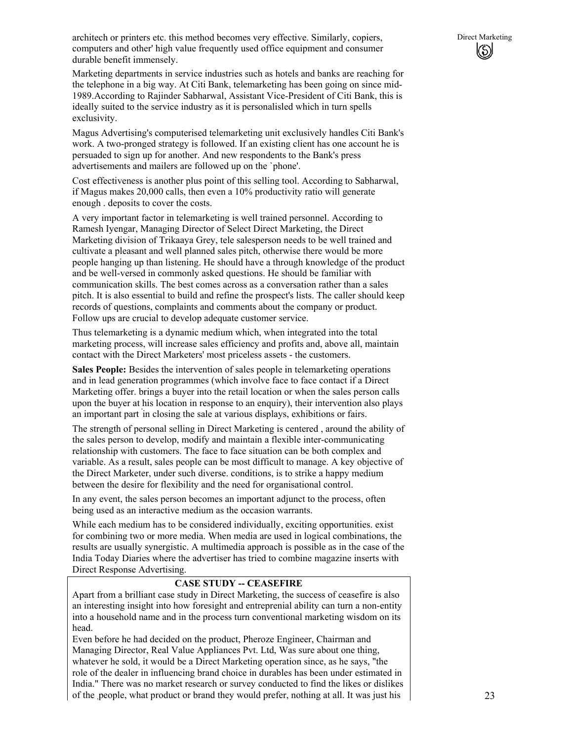Marketing departments in service industries such as hotels and banks are reaching for the telephone in a big way. At Citi Bank, telemarketing has been going on since mid-1989.According to Rajinder Sabharwal, Assistant Vice-President of Citi Bank, this is ideally suited to the service industry as it is personalisled which in turn spells exclusivity.

Magus Advertising's computerised telemarketing unit exclusively handles Citi Bank's work. A two-pronged strategy is followed. If an existing client has one account he is persuaded to sign up for another. And new respondents to the Bank's press advertisements and mailers are followed up on the `phone'.

Cost effectiveness is another plus point of this selling tool. According to Sabharwal, if Magus makes 20,000 calls, then even a 10% productivity ratio will generate enough . deposits to cover the costs.

A very important factor in telemarketing is well trained personnel. According to Ramesh Iyengar, Managing Director of Select Direct Marketing, the Direct Marketing division of Trikaaya Grey, tele salesperson needs to be well trained and cultivate a pleasant and well planned sales pitch, otherwise there would be more people hanging up than listening. He should have a through knowledge of the product and be well-versed in commonly asked questions. He should be familiar with communication skills. The best comes across as a conversation rather than a sales pitch. It is also essential to build and refine the prospect's lists. The caller should keep records of questions, complaints and comments about the company or product. Follow ups are crucial to develop adequate customer service.

Thus telemarketing is a dynamic medium which, when integrated into the total marketing process, will increase sales efficiency and profits and, above all, maintain contact with the Direct Marketers' most priceless assets - the customers.

**Sales People:** Besides the intervention of sales people in telemarketing operations and in lead generation programmes (which involve face to face contact if a Direct Marketing offer. brings a buyer into the retail location or when the sales person calls upon the buyer at his location in response to an enquiry), their intervention also plays an important part ' in closing the sale at various displays, exhibitions or fairs.

The strength of personal selling in Direct Marketing is centered , around the ability of the sales person to develop, modify and maintain a flexible inter-communicating relationship with customers. The face to face situation can be both complex and variable. As a result, sales people can be most difficult to manage. A key objective of the Direct Marketer, under such diverse. conditions, is to strike a happy medium between the desire for flexibility and the need for organisational control.

In any event, the sales person becomes an important adjunct to the process, often being used as an interactive medium as the occasion warrants.

While each medium has to be considered individually, exciting opportunities. exist for combining two or more media. When media are used in logical combinations, the results are usually synergistic. A multimedia approach is possible as in the case of the India Today Diaries where the advertiser has tried to combine magazine inserts with Direct Response Advertising.

### **CASE STUDY -- CEASEFIRE**

Apart from a brilliant case study in Direct Marketing, the success of ceasefire is also an interesting insight into how foresight and entreprenial ability can turn a non-entity into a household name and in the process turn conventional marketing wisdom on its head.

Even before he had decided on the product, Pheroze Engineer, Chairman and Managing Director, Real Value Appliances Pvt. Ltd, Was sure about one thing, whatever he sold, it would be a Direct Marketing operation since, as he says, "the role of the dealer in influencing brand choice in durables has been under estimated in India." There was no market research or survey conducted to find the likes or dislikes of the people, what product or brand they would prefer, nothing at all. It was just his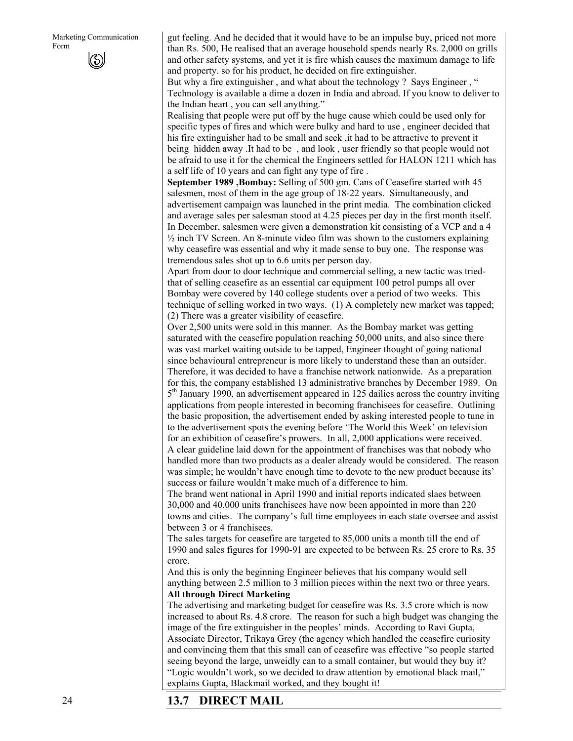gut feeling. And he decided that it would have to be an impulse buy, priced not more than Rs. 500, He realised that an average household spends nearly Rs. 2,000 on grills and other safety systems, and yet it is fire whish causes the maximum damage to life and property. so for his product, he decided on fire extinguisher.

But why a fire extinguisher, and what about the technology ? Says Engineer, " Technology is available a dime a dozen in India and abroad. If you know to deliver to the Indian heart , you can sell anything."

Realising that people were put off by the huge cause which could be used only for specific types of fires and which were bulky and hard to use , engineer decided that his fire extinguisher had to be small and seek ,it had to be attractive to prevent it being hidden away .It had to be , and look , user friendly so that people would not be afraid to use it for the chemical the Engineers settled for HALON 1211 which has a self life of 10 years and can fight any type of fire .

**September 1989 ,Bombay:** Selling of 500 gm. Cans of Ceasefire started with 45 salesmen, most of them in the age group of 18-22 years. Simultaneously, and advertisement campaign was launched in the print media. The combination clicked and average sales per salesman stood at 4.25 pieces per day in the first month itself. In December, salesmen were given a demonstration kit consisting of a VCP and a 4  $\frac{1}{2}$  inch TV Screen. An 8-minute video film was shown to the customers explaining why ceasefire was essential and why it made sense to buy one. The response was tremendous sales shot up to 6.6 units per person day.

Apart from door to door technique and commercial selling, a new tactic was triedthat of selling ceasefire as an essential car equipment 100 petrol pumps all over Bombay were covered by 140 college students over a period of two weeks. This technique of selling worked in two ways. (1) A completely new market was tapped; (2) There was a greater visibility of ceasefire.

Over 2,500 units were sold in this manner. As the Bombay market was getting saturated with the ceasefire population reaching 50,000 units, and also since there was vast market waiting outside to be tapped, Engineer thought of going national since behavioural entrepreneur is more likely to understand these than an outsider. Therefore, it was decided to have a franchise network nationwide. As a preparation for this, the company established 13 administrative branches by December 1989. On 5th January 1990, an advertisement appeared in 125 dailies across the country inviting applications from people interested in becoming franchisees for ceasefire. Outlining the basic proposition, the advertisement ended by asking interested people to tune in to the advertisement spots the evening before 'The World this Week' on television for an exhibition of ceasefire's prowers. In all, 2,000 applications were received. A clear guideline laid down for the appointment of franchises was that nobody who handled more than two products as a dealer already would be considered. The reason was simple; he wouldn't have enough time to devote to the new product because its' success or failure wouldn't make much of a difference to him.

The brand went national in April 1990 and initial reports indicated slaes between 30,000 and 40,000 units franchisees have now been appointed in more than 220 towns and cities. The company's full time employees in each state oversee and assist between 3 or 4 franchisees.

The sales targets for ceasefire are targeted to 85,000 units a month till the end of 1990 and sales figures for 1990-91 are expected to be between Rs. 25 crore to Rs. 35 crore.

And this is only the beginning Engineer believes that his company would sell anything between 2.5 million to 3 million pieces within the next two or three years. **All through Direct Marketing** 

The advertising and marketing budget for ceasefire was Rs. 3.5 crore which is now increased to about Rs. 4.8 crore. The reason for such a high budget was changing the image of the fire extinguisher in the peoples' minds. According to Ravi Gupta, Associate Director, Trikaya Grey (the agency which handled the ceasefire curiosity and convincing them that this small can of ceasefire was effective "so people started seeing beyond the large, unweidly can to a small container, but would they buy it? "Logic wouldn't work, so we decided to draw attention by emotional black mail," explains Gupta, Blackmail worked, and they bought it!

## **13.7 DIRECT MAIL**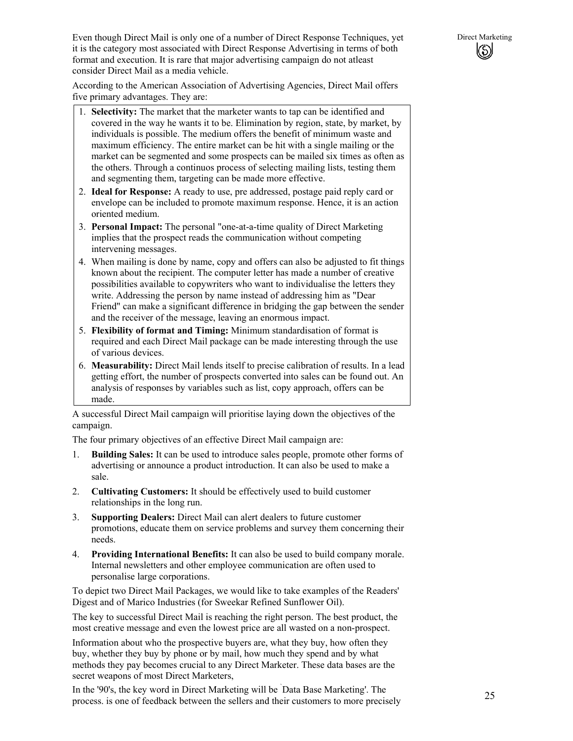Even though Direct Mail is only one of a number of Direct Response Techniques, yet Direct Marketing it is the category most associated with Direct Response Advertising in terms of both format and execution. It is rare that major advertising campaign do not atleast consider Direct Mail as a media vehicle.

According to the American Association of Advertising Agencies, Direct Mail offers five primary advantages. They are:

- 1. **Selectivity:** The market that the marketer wants to tap can be identified and covered in the way he wants it to be. Elimination by region, state, by market, by individuals is possible. The medium offers the benefit of minimum waste and maximum efficiency. The entire market can be hit with a single mailing or the market can be segmented and some prospects can be mailed six times as often as the others. Through a continuos process of selecting mailing lists, testing them and segmenting them, targeting can be made more effective.
- 2. **Ideal for Response:** A ready to use, pre addressed, postage paid reply card or envelope can be included to promote maximum response. Hence, it is an action oriented medium.
- 3. **Personal Impact:** The personal "one-at-a-time quality of Direct Marketing implies that the prospect reads the communication without competing intervening messages.
- 4. When mailing is done by name, copy and offers can also be adjusted to fit things known about the recipient. The computer letter has made a number of creative possibilities available to copywriters who want to individualise the letters they write. Addressing the person by name instead of addressing him as "Dear Friend" can make a significant difference in bridging the gap between the sender and the receiver of the message, leaving an enormous impact.
- 5. **Flexibility of format and Timing:** Minimum standardisation of format is required and each Direct Mail package can be made interesting through the use of various devices.
- 6. **Measurability:** Direct Mail lends itself to precise calibration of results. In a lead getting effort, the number of prospects converted into sales can be found out. An analysis of responses by variables such as list, copy approach, offers can be made.

A successful Direct Mail campaign will prioritise laying down the objectives of the campaign.

The four primary objectives of an effective Direct Mail campaign are:

- 1. **Building Sales:** It can be used to introduce sales people, promote other forms of advertising or announce a product introduction. It can also be used to make a sale.
- 2. **Cultivating Customers:** It should be effectively used to build customer relationships in the long run.
- 3. **Supporting Dealers:** Direct Mail can alert dealers to future customer promotions, educate them on service problems and survey them concerning their needs.
- 4. **Providing International Benefits:** It can also be used to build company morale. Internal newsletters and other employee communication are often used to personalise large corporations.

To depict two Direct Mail Packages, we would like to take examples of the Readers' Digest and of Marico Industries (for Sweekar Refined Sunflower Oil).

The key to successful Direct Mail is reaching the right person. The best product, the most creative message and even the lowest price are all wasted on a non-prospect.

Information about who the prospective buyers are, what they buy, how often they buy, whether they buy by phone or by mail, how much they spend and by what methods they pay becomes crucial to any Direct Marketer. These data bases are the secret weapons of most Direct Marketers,

In the '90's, the key word in Direct Marketing will be ` Data Base Marketing'. The process. is one of feedback between the sellers and their customers to more precisely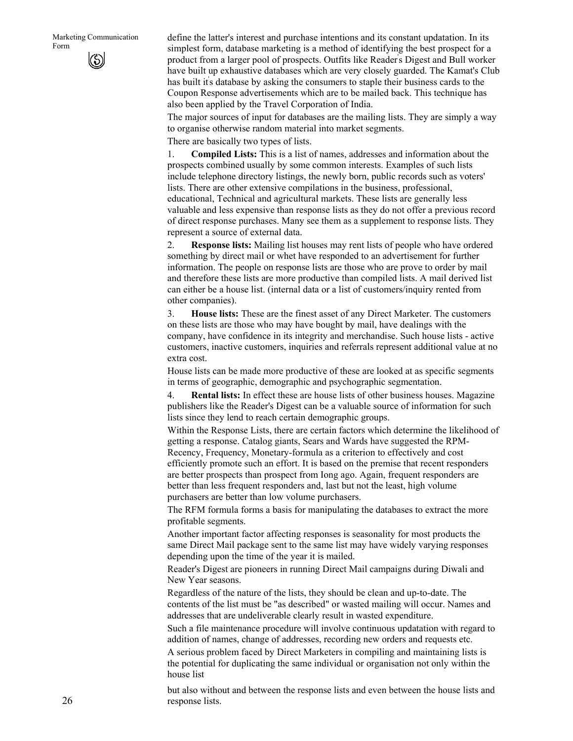define the latter's interest and purchase intentions and its constant updatation. In its simplest form, database marketing is a method of identifying the best prospect for a product from a larger pool of prospects. Outfits like Reader' s Digest and Bull worker have built up exhaustive databases which are very closely guarded. The Kamat's Club has built it's database by asking the consumers to staple their business cards to the Coupon Response advertisements which are to be mailed back. This technique has also been applied by the Travel Corporation of India.

The major sources of input for databases are the mailing lists. They are simply a way to organise otherwise random material into market segments.

There are basically two types of lists.

1. **Compiled Lists:** This is a list of names, addresses and information about the prospects combined usually by some common interests. Examples of such lists include telephone directory listings, the newly born, public records such as voters' lists. There are other extensive compilations in the business, professional, educational, Technical and agricultural markets. These lists are generally less valuable and less expensive than response lists as they do not offer a previous record of direct response purchases. Many see them as a supplement to response lists. They represent a source of external data.

2. **Response lists:** Mailing list houses may rent lists of people who have ordered something by direct mail or whet have responded to an advertisement for further information. The people on response lists are those who are prove to order by mail and therefore these lists are more productive than compiled lists. A mail derived list can either be a house list. (internal data or a list of customers/inquiry rented from other companies).

3. **House lists:** These are the finest asset of any Direct Marketer. The customers on these lists are those who may have bought by mail, have dealings with the company, have confidence in its integrity and merchandise. Such house lists - active customers, inactive customers, inquiries and referrals represent additional value at no extra cost.

House lists can be made more productive of these are looked at as specific segments in terms of geographic, demographic and psychographic segmentation.

4. **Rental lists:** In effect these are house lists of other business houses. Magazine publishers like the Reader's Digest can be a valuable source of information for such lists since they lend to reach certain demographic groups.

Within the Response Lists, there are certain factors which determine the likelihood of getting a response. Catalog giants, Sears and Wards have suggested the RPM-Recency, Frequency, Monetary-formula as a criterion to effectively and cost efficiently promote such an effort. It is based on the premise that recent responders are better prospects than prospect from Iong ago. Again, frequent responders are better than less frequent responders and, last but not the least, high volume purchasers are better than low volume purchasers.

The RFM formula forms a basis for manipulating the databases to extract the more profitable segments.

Another important factor affecting responses is seasonality for most products the same Direct Mail package sent to the same list may have widely varying responses depending upon the time of the year it is mailed.

Reader's Digest are pioneers in running Direct Mail campaigns during Diwali and New Year seasons.

Regardless of the nature of the lists, they should be clean and up-to-date. The contents of the list must be "as described" or wasted mailing will occur. Names and addresses that are undeliverable clearly result in wasted expenditure.

Such a file maintenance procedure will involve continuous updatation with regard to addition of names, change of addresses, recording new orders and requests etc.

A serious problem faced by Direct Marketers in compiling and maintaining lists is the potential for duplicating the same individual or organisation not only within the house list

but also without and between the response lists and even between the house lists and response lists.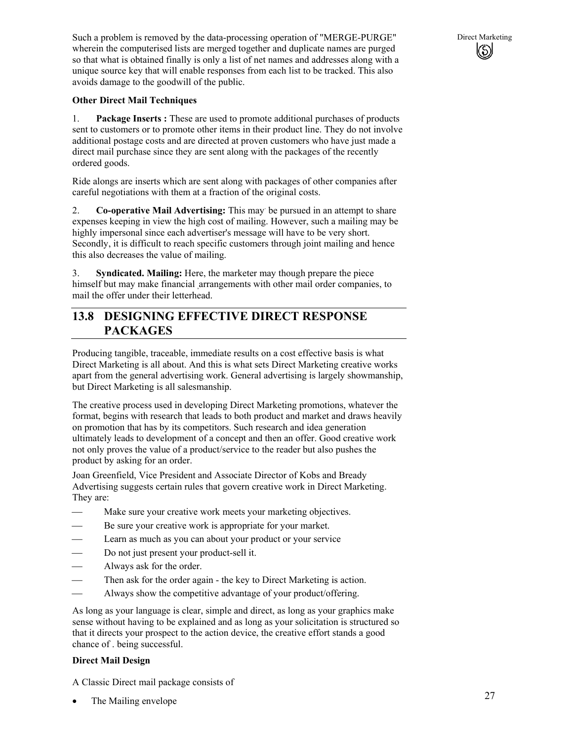Such a problem is removed by the data-processing operation of "MERGE-PURGE" Direct Marketing wherein the computerised lists are merged together and duplicate names are purged so that what is obtained finally is only a list of net names and addresses along with a unique source key that will enable responses from each list to be tracked. This also avoids damage to the goodwill of the public.

#### **Other Direct Mail Techniques**

1. **Package Inserts :** These are used to promote additional purchases of products sent to customers or to promote other items in their product line. They do not involve additional postage costs and are directed at proven customers who have just made a direct mail purchase since they are sent along with the packages of the recently ordered goods.

Ride alongs are inserts which are sent along with packages of other companies after careful negotiations with them at a fraction of the original costs.

2. Co-operative Mail Advertising: This may be pursued in an attempt to share expenses keeping in view the high cost of mailing. However, such a mailing may be highly impersonal since each advertiser's message will have to be very short. Secondly, it is difficult to reach specific customers through joint mailing and hence this also decreases the value of mailing.

3. **Syndicated. Mailing:** Here, the marketer may though prepare the piece himself but may make financial arrangements with other mail order companies, to mail the offer under their letterhead.

### **13.8 DESIGNING EFFECTIVE DIRECT RESPONSE PACKAGES**

Producing tangible, traceable, immediate results on a cost effective basis is what Direct Marketing is all about. And this is what sets Direct Marketing creative works apart from the general advertising work. General advertising is largely showmanship, but Direct Marketing is all salesmanship.

The creative process used in developing Direct Marketing promotions, whatever the format, begins with research that leads to both product and market and draws heavily on promotion that has by its competitors. Such research and idea generation ultimately leads to development of a concept and then an offer. Good creative work not only proves the value of a product/service to the reader but also pushes the product by asking for an order.

Joan Greenfield, Vice President and Associate Director of Kobs and Bready Advertising suggests certain rules that govern creative work in Direct Marketing. They are:

- Make sure your creative work meets your marketing objectives.
- Be sure your creative work is appropriate for your market.
- Learn as much as you can about your product or your service
- Do not just present your product-sell it.
- Always ask for the order.
- Then ask for the order again the key to Direct Marketing is action.
- Always show the competitive advantage of your product/offering.

As long as your language is clear, simple and direct, as long as your graphics make sense without having to be explained and as long as your solicitation is structured so that it directs your prospect to the action device, the creative effort stands a good chance of . being successful.

#### **Direct Mail Design**

A Classic Direct mail package consists of

The Mailing envelope

(\$)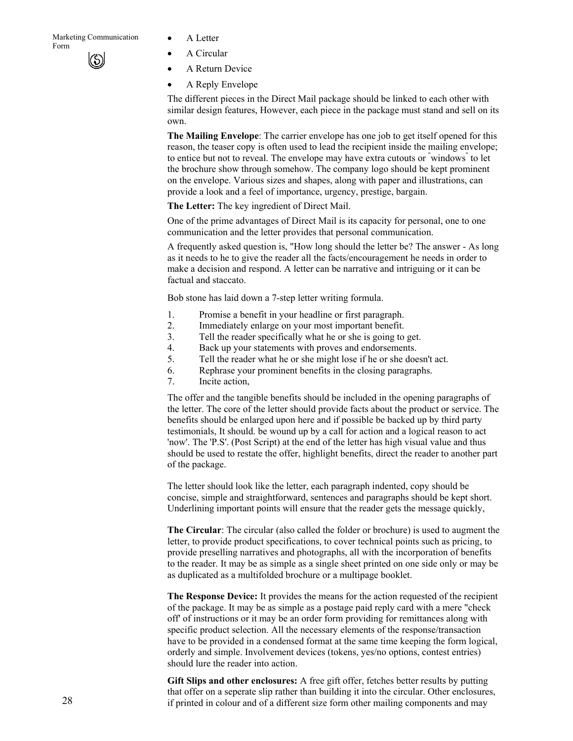- 
- A Circular
- A Return Device
- A Reply Envelope

The different pieces in the Direct Mail package should be linked to each other with similar design features, However, each piece in the package must stand and sell on its own.

**The Mailing Envelope**: The carrier envelope has one job to get itself opened for this reason, the teaser copy is often used to lead the recipient inside the mailing envelope; to entice but not to reveal. The envelope may have extra cutouts or "windows" to let the brochure show through somehow. The company logo should be kept prominent on the envelope. Various sizes and shapes, along with paper and illustrations, can provide a look and a feel of importance, urgency, prestige, bargain.

**The Letter:** The key ingredient of Direct Mail.

One of the prime advantages of Direct Mail is its capacity for personal, one to one communication and the letter provides that personal communication.

A frequently asked question is, "How long should the letter be? The answer - As long as it needs to he to give the reader all the facts/encouragement he needs in order to make a decision and respond. A letter can be narrative and intriguing or it can be factual and staccato.

Bob stone has laid down a 7-step letter writing formula.

- 1. Promise a benefit in your headline or first paragraph.
- 2. Immediately enlarge on your most important benefit.
- 3. Tell the reader specifically what he or she is going to get.
- 4. Back up your statements with proves and endorsements.
- 5. Tell the reader what he or she might lose if he or she doesn't act.
- 6. Rephrase your prominent benefits in the closing paragraphs.
- 7. Incite action,

The offer and the tangible benefits should be included in the opening paragraphs of the letter. The core of the letter should provide facts about the product or service. The benefits should be enlarged upon here and if possible be backed up by third party testimonials, It should. be wound up by a call for action and a logical reason to act 'now'. The 'P.S'. (Post Script) at the end of the letter has high visual value and thus should be used to restate the offer, highlight benefits, direct the reader to another part of the package.

The letter should look like the letter, each paragraph indented, copy should be concise, simple and straightforward, sentences and paragraphs should be kept short. Underlining important points will ensure that the reader gets the message quickly,

**The Circular**: The circular (also called the folder or brochure) is used to augment the letter, to provide product specifications, to cover technical points such as pricing, to provide preselling narratives and photographs, all with the incorporation of benefits to the reader. It may be as simple as a single sheet printed on one side only or may be as duplicated as a multifolded brochure or a multipage booklet.

**The Response Device:** It provides the means for the action requested of the recipient of the package. It may be as simple as a postage paid reply card with a mere "check off' of instructions or it may be an order form providing for remittances along with specific product selection. All the necessary elements of the response/transaction have to be provided in a condensed format at the same time keeping the form logical, orderly and simple. Involvement devices (tokens, yes/no options, contest entries) should lure the reader into action.

**Gift Slips and other enclosures:** A free gift offer, fetches better results by putting that offer on a seperate slip rather than building it into the circular. Other enclosures, if printed in colour and of a different size form other mailing components and may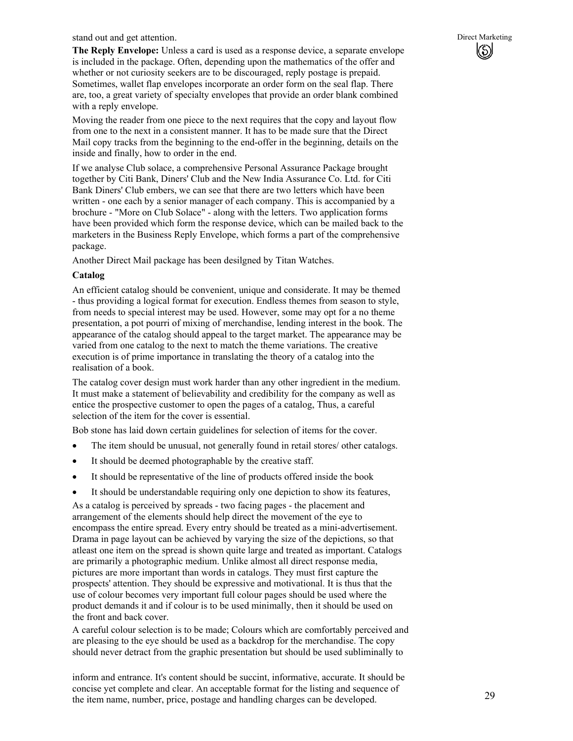stand out and get attention. Direct Marketing

**The Reply Envelope:** Unless a card is used as a response device, a separate envelope is included in the package. Often, depending upon the mathematics of the offer and whether or not curiosity seekers are to be discouraged, reply postage is prepaid. Sometimes, wallet flap envelopes incorporate an order form on the seal flap. There are, too, a great variety of specialty envelopes that provide an order blank combined with a reply envelope.

Moving the reader from one piece to the next requires that the copy and layout flow from one to the next in a consistent manner. It has to be made sure that the Direct Mail copy tracks from the beginning to the end-offer in the beginning, details on the inside and finally, how to order in the end.

If we analyse Club solace, a comprehensive Personal Assurance Package brought together by Citi Bank, Diners' Club and the New India Assurance Co. Ltd. for Citi Bank Diners' Club embers, we can see that there are two letters which have been written - one each by a senior manager of each company. This is accompanied by a brochure - "More on Club Solace" - along with the letters. Two application forms have been provided which form the response device, which can be mailed back to the marketers in the Business Reply Envelope, which forms a part of the comprehensive package.

Another Direct Mail package has been desilgned by Titan Watches.

#### **Catalog**

An efficient catalog should be convenient, unique and considerate. It may be themed - thus providing a logical format for execution. Endless themes from season to style, from needs to special interest may be used. However, some may opt for a no theme presentation, a pot pourri of mixing of merchandise, lending interest in the book. The appearance of the catalog should appeal to the target market. The appearance may be varied from one catalog to the next to match the theme variations. The creative execution is of prime importance in translating the theory of a catalog into the realisation of a book.

The catalog cover design must work harder than any other ingredient in the medium. It must make a statement of believability and credibility for the company as well as entice the prospective customer to open the pages of a catalog, Thus, a careful selection of the item for the cover is essential.

Bob stone has laid down certain guidelines for selection of items for the cover.

- The item should be unusual, not generally found in retail stores/ other catalogs.
- It should be deemed photographable by the creative staff.
- It should be representative of the line of products offered inside the book
- It should be understandable requiring only one depiction to show its features,

As a catalog is perceived by spreads - two facing pages - the placement and arrangement of the elements should help direct the movement of the eye to encompass the entire spread. Every entry should be treated as a mini-advertisement. Drama in page layout can be achieved by varying the size of the depictions, so that atleast one item on the spread is shown quite large and treated as important. Catalogs are primarily a photographic medium. Unlike almost all direct response media, pictures are more important than words in catalogs. They must first capture the prospects' attention. They should be expressive and motivational. It is thus that the use of colour becomes very important full colour pages should be used where the product demands it and if colour is to be used minimally, then it should be used on the front and back cover.

A careful colour selection is to be made; Colours which are comfortably perceived and are pleasing to the eye should be used as a backdrop for the merchandise. The copy should never detract from the graphic presentation but should be used subliminally to

inform and entrance. It's content should be succint, informative, accurate. It should be concise yet complete and clear. An acceptable format for the listing and sequence of the item name, number, price, postage and handling charges can be developed.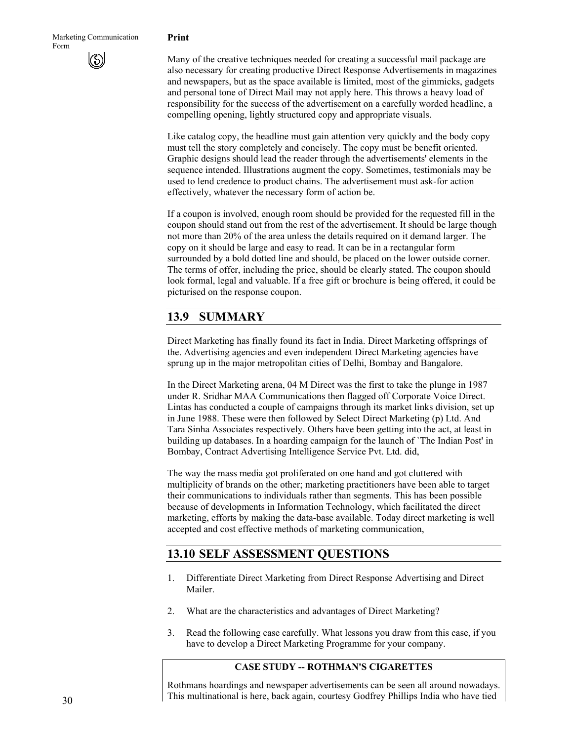#### **Print**

Many of the creative techniques needed for creating a successful mail package are also necessary for creating productive Direct Response Advertisements in magazines and newspapers, but as the space available is limited, most of the gimmicks, gadgets and personal tone of Direct Mail may not apply here. This throws a heavy load of responsibility for the success of the advertisement on a carefully worded headline, a compelling opening, lightly structured copy and appropriate visuals.

Like catalog copy, the headline must gain attention very quickly and the body copy must tell the story completely and concisely. The copy must be benefit oriented. Graphic designs should lead the reader through the advertisements' elements in the sequence intended. Illustrations augment the copy. Sometimes, testimonials may be used to lend credence to product chains. The advertisement must ask-for action effectively, whatever the necessary form of action be.

If a coupon is involved, enough room should be provided for the requested fill in the coupon should stand out from the rest of the advertisement. It should be large though not more than 20% of the area unless the details required on it demand larger. The copy on it should be large and easy to read. It can be in a rectangular form surrounded by a bold dotted line and should, be placed on the lower outside corner. The terms of offer, including the price, should be clearly stated. The coupon should look formal, legal and valuable. If a free gift or brochure is being offered, it could be picturised on the response coupon.

### **13.9 SUMMARY**

Direct Marketing has finally found its fact in India. Direct Marketing offsprings of the. Advertising agencies and even independent Direct Marketing agencies have sprung up in the major metropolitan cities of Delhi, Bombay and Bangalore.

In the Direct Marketing arena, 04 M Direct was the first to take the plunge in 1987 under R. Sridhar MAA Communications then flagged off Corporate Voice Direct. Lintas has conducted a couple of campaigns through its market links division, set up in June 1988. These were then followed by Select Direct Marketing (p) Ltd. And Tara Sinha Associates respectively. Others have been getting into the act, at least in building up databases. In a hoarding campaign for the launch of `The Indian Post' in Bombay, Contract Advertising Intelligence Service Pvt. Ltd. did,

The way the mass media got proliferated on one hand and got cluttered with multiplicity of brands on the other; marketing practitioners have been able to target their communications to individuals rather than segments. This has been possible because of developments in Information Technology, which facilitated the direct marketing, efforts by making the data-base available. Today direct marketing is well accepted and cost effective methods of marketing communication,

### **13.10 SELF ASSESSMENT QUESTIONS**

- 1. Differentiate Direct Marketing from Direct Response Advertising and Direct Mailer.
- 2. What are the characteristics and advantages of Direct Marketing?
- 3. Read the following case carefully. What lessons you draw from this case, if you have to develop a Direct Marketing Programme for your company.

### **CASE STUDY -- ROTHMAN'S CIGARETTES**

Rothmans hoardings and newspaper advertisements can be seen all around nowadays. This multinational is here, back again, courtesy Godfrey Phillips India who have tied